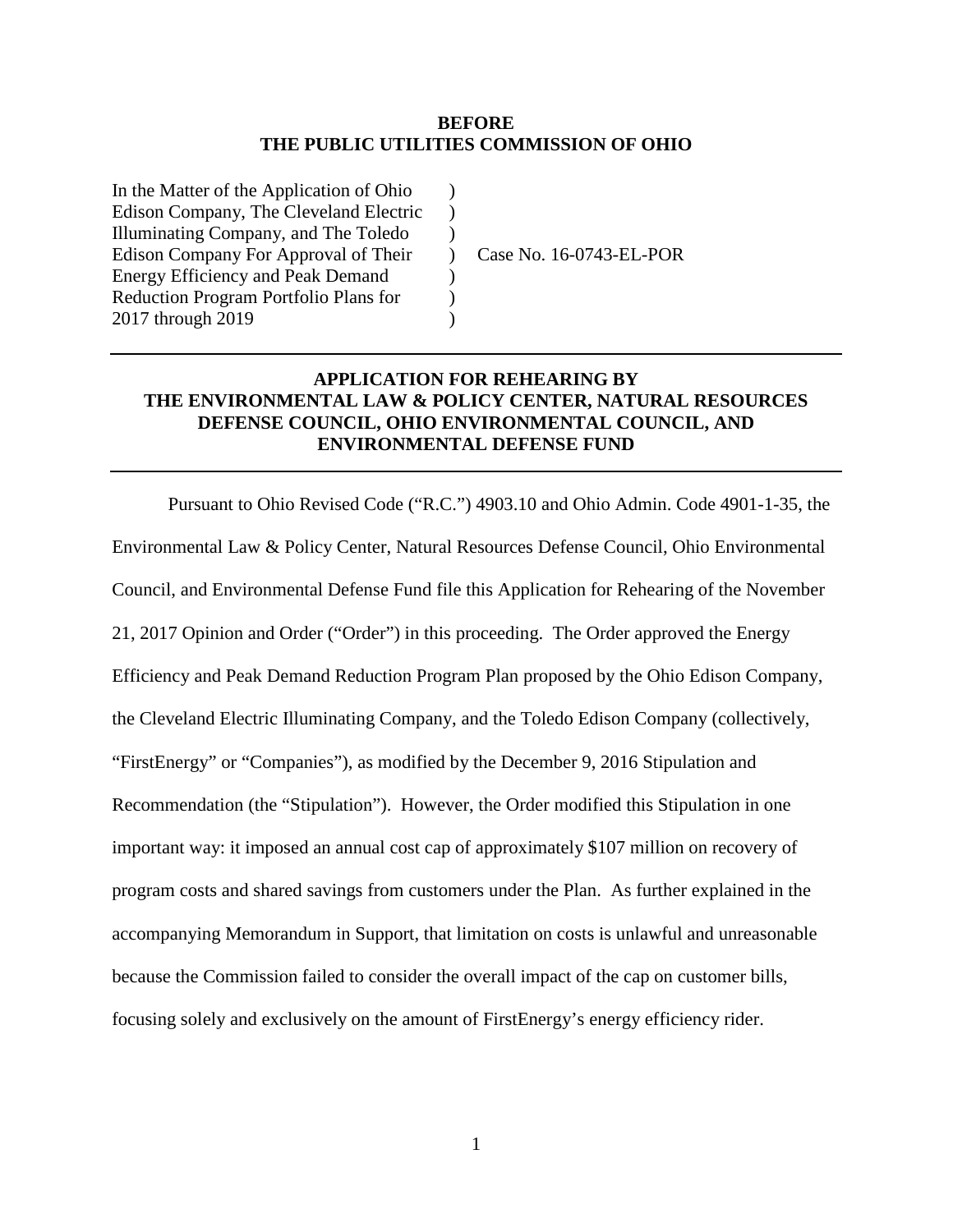### **BEFORE THE PUBLIC UTILITIES COMMISSION OF OHIO**

 $\lambda$  $\mathcal{L}$  $\mathcal{L}$  $\lambda$ )  $\mathcal{L}$ )

In the Matter of the Application of Ohio Edison Company, The Cleveland Electric Illuminating Company, and The Toledo Edison Company For Approval of Their Energy Efficiency and Peak Demand Reduction Program Portfolio Plans for 2017 through 2019

Case No. 16-0743-EL-POR

## **APPLICATION FOR REHEARING BY THE ENVIRONMENTAL LAW & POLICY CENTER, NATURAL RESOURCES DEFENSE COUNCIL, OHIO ENVIRONMENTAL COUNCIL, AND ENVIRONMENTAL DEFENSE FUND**

Pursuant to Ohio Revised Code ("R.C.") 4903.10 and Ohio Admin. Code 4901-1-35, the Environmental Law & Policy Center, Natural Resources Defense Council, Ohio Environmental Council, and Environmental Defense Fund file this Application for Rehearing of the November 21, 2017 Opinion and Order ("Order") in this proceeding. The Order approved the Energy Efficiency and Peak Demand Reduction Program Plan proposed by the Ohio Edison Company, the Cleveland Electric Illuminating Company, and the Toledo Edison Company (collectively, "FirstEnergy" or "Companies"), as modified by the December 9, 2016 Stipulation and Recommendation (the "Stipulation"). However, the Order modified this Stipulation in one important way: it imposed an annual cost cap of approximately \$107 million on recovery of program costs and shared savings from customers under the Plan. As further explained in the accompanying Memorandum in Support, that limitation on costs is unlawful and unreasonable because the Commission failed to consider the overall impact of the cap on customer bills, focusing solely and exclusively on the amount of FirstEnergy's energy efficiency rider.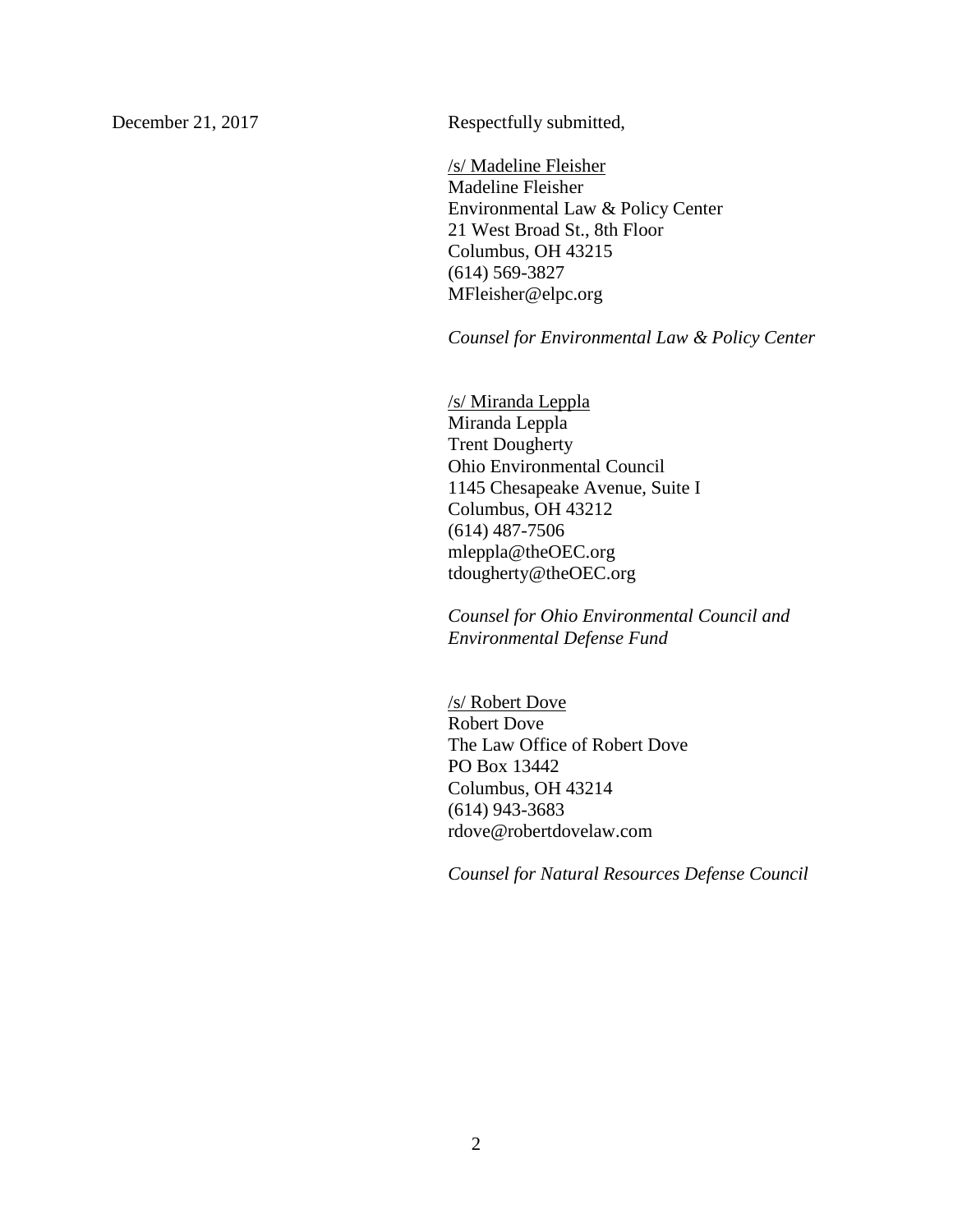December 21, 2017 Respectfully submitted,

/s/ Madeline Fleisher Madeline Fleisher Environmental Law & Policy Center 21 West Broad St., 8th Floor Columbus, OH 43215 (614) 569-3827 MFleisher@elpc.org

*Counsel for Environmental Law & Policy Center*

/s/ Miranda Leppla Miranda Leppla Trent Dougherty Ohio Environmental Council 1145 Chesapeake Avenue, Suite I Columbus, OH 43212 (614) 487-7506 mleppla@theOEC.org tdougherty@theOEC.org

*Counsel for Ohio Environmental Council and Environmental Defense Fund*

/s/ Robert Dove Robert Dove The Law Office of Robert Dove PO Box 13442 Columbus, OH 43214 (614) 943-3683 rdove@robertdovelaw.com

*Counsel for Natural Resources Defense Council*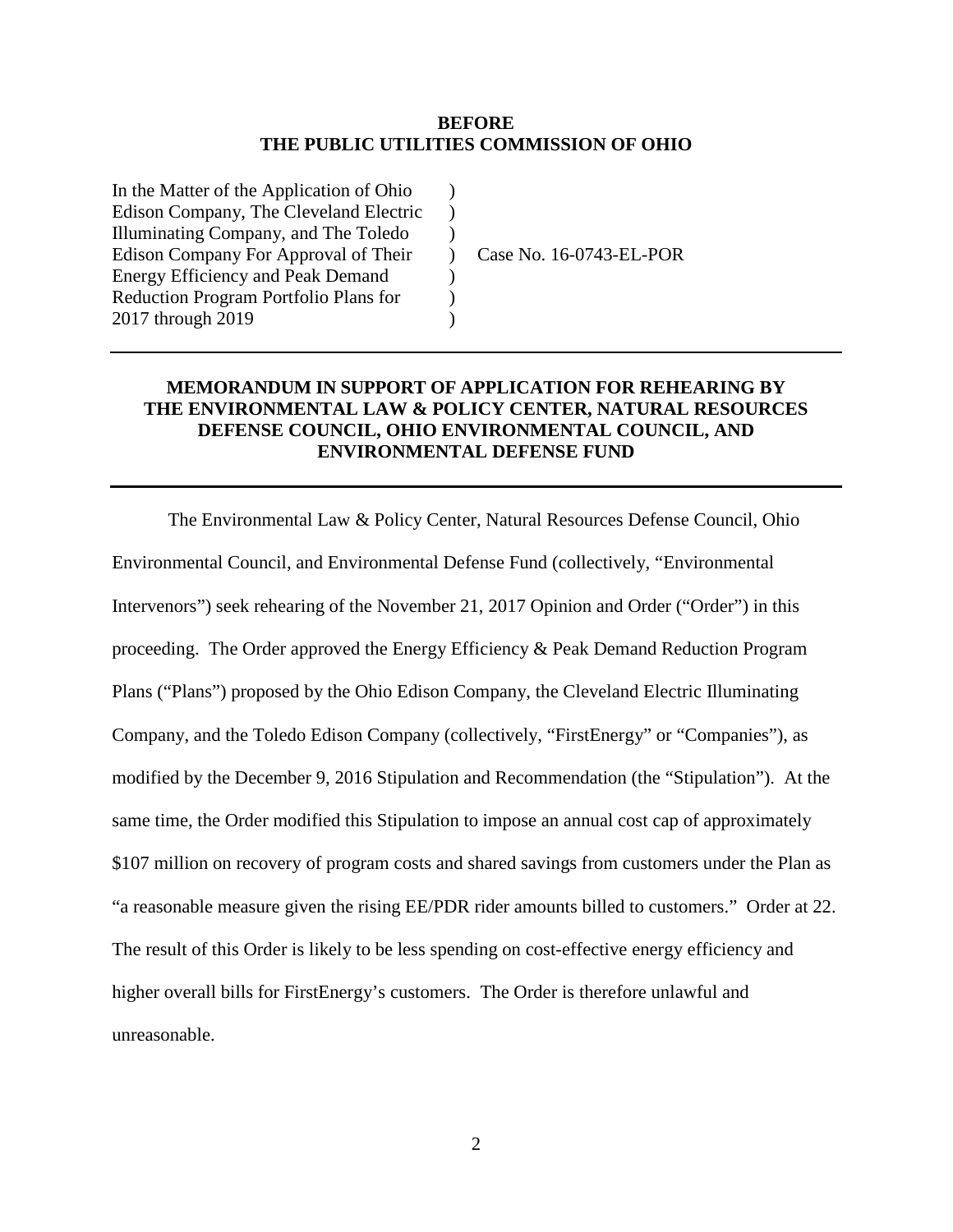### **BEFORE THE PUBLIC UTILITIES COMMISSION OF OHIO**

 $\lambda$  $\mathcal{L}$  $\lambda$  $\lambda$ )  $\mathcal{L}$  $\lambda$ 

In the Matter of the Application of Ohio Edison Company, The Cleveland Electric Illuminating Company, and The Toledo Edison Company For Approval of Their Energy Efficiency and Peak Demand Reduction Program Portfolio Plans for 2017 through 2019

Case No. 16-0743-EL-POR

# **MEMORANDUM IN SUPPORT OF APPLICATION FOR REHEARING BY THE ENVIRONMENTAL LAW & POLICY CENTER, NATURAL RESOURCES DEFENSE COUNCIL, OHIO ENVIRONMENTAL COUNCIL, AND ENVIRONMENTAL DEFENSE FUND**

The Environmental Law & Policy Center, Natural Resources Defense Council, Ohio Environmental Council, and Environmental Defense Fund (collectively, "Environmental Intervenors") seek rehearing of the November 21, 2017 Opinion and Order ("Order") in this proceeding. The Order approved the Energy Efficiency & Peak Demand Reduction Program Plans ("Plans") proposed by the Ohio Edison Company, the Cleveland Electric Illuminating Company, and the Toledo Edison Company (collectively, "FirstEnergy" or "Companies"), as modified by the December 9, 2016 Stipulation and Recommendation (the "Stipulation"). At the same time, the Order modified this Stipulation to impose an annual cost cap of approximately \$107 million on recovery of program costs and shared savings from customers under the Plan as "a reasonable measure given the rising EE/PDR rider amounts billed to customers." Order at 22. The result of this Order is likely to be less spending on cost-effective energy efficiency and higher overall bills for FirstEnergy's customers. The Order is therefore unlawful and unreasonable.

2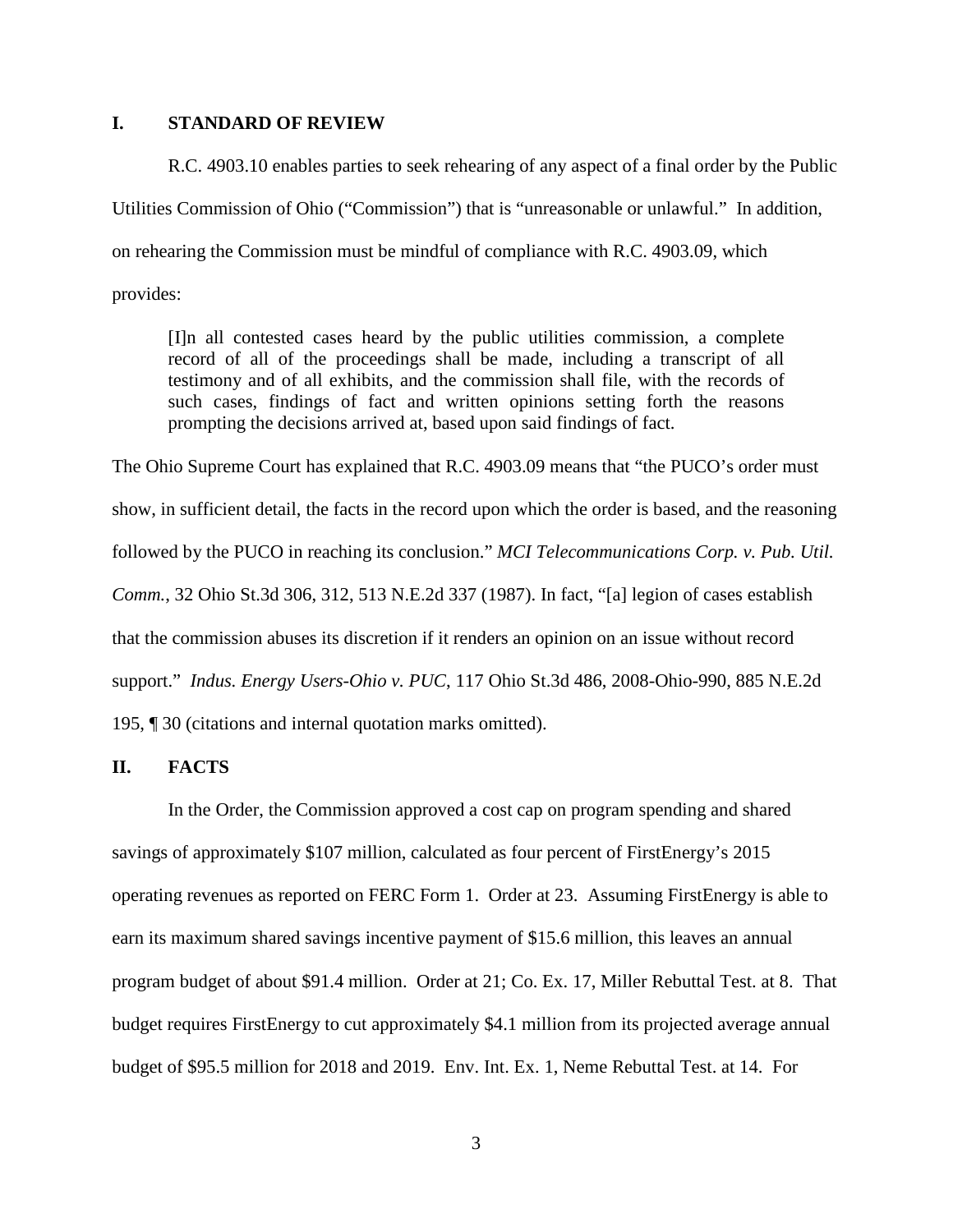#### **I. STANDARD OF REVIEW**

R.C. 4903.10 enables parties to seek rehearing of any aspect of a final order by the Public Utilities Commission of Ohio ("Commission") that is "unreasonable or unlawful." In addition, on rehearing the Commission must be mindful of compliance with R.C. 4903.09, which provides:

[I]n all contested cases heard by the public utilities commission, a complete record of all of the proceedings shall be made, including a transcript of all testimony and of all exhibits, and the commission shall file, with the records of such cases, findings of fact and written opinions setting forth the reasons prompting the decisions arrived at, based upon said findings of fact.

The Ohio Supreme Court has explained that R.C. 4903.09 means that "the PUCO's order must show, in sufficient detail, the facts in the record upon which the order is based, and the reasoning followed by the PUCO in reaching its conclusion." *MCI Telecommunications Corp. v. Pub. Util. Comm.*, 32 Ohio St.3d 306, 312, 513 N.E.2d 337 (1987). In fact, "[a] legion of cases establish that the commission abuses its discretion if it renders an opinion on an issue without record support." *Indus. Energy Users-Ohio v. PUC*, 117 Ohio St.3d 486, 2008-Ohio-990, 885 N.E.2d 195, ¶ 30 (citations and internal quotation marks omitted).

## **II. FACTS**

In the Order, the Commission approved a cost cap on program spending and shared savings of approximately \$107 million, calculated as four percent of FirstEnergy's 2015 operating revenues as reported on FERC Form 1. Order at 23. Assuming FirstEnergy is able to earn its maximum shared savings incentive payment of \$15.6 million, this leaves an annual program budget of about \$91.4 million. Order at 21; Co. Ex. 17, Miller Rebuttal Test. at 8. That budget requires FirstEnergy to cut approximately \$4.1 million from its projected average annual budget of \$95.5 million for 2018 and 2019. Env. Int. Ex. 1, Neme Rebuttal Test. at 14. For

3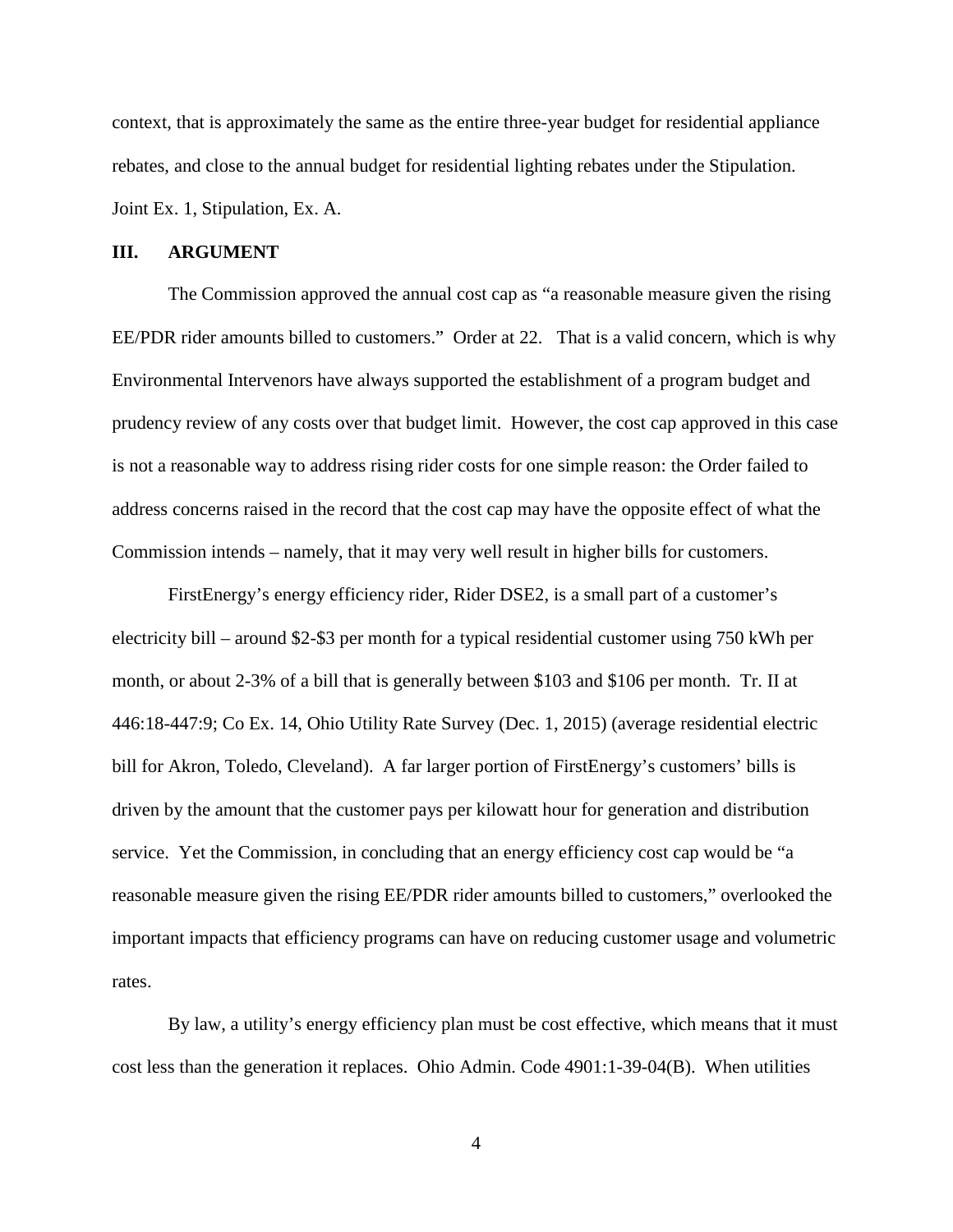context, that is approximately the same as the entire three-year budget for residential appliance rebates, and close to the annual budget for residential lighting rebates under the Stipulation. Joint Ex. 1, Stipulation, Ex. A.

#### **III. ARGUMENT**

The Commission approved the annual cost cap as "a reasonable measure given the rising EE/PDR rider amounts billed to customers." Order at 22. That is a valid concern, which is why Environmental Intervenors have always supported the establishment of a program budget and prudency review of any costs over that budget limit. However, the cost cap approved in this case is not a reasonable way to address rising rider costs for one simple reason: the Order failed to address concerns raised in the record that the cost cap may have the opposite effect of what the Commission intends – namely, that it may very well result in higher bills for customers.

FirstEnergy's energy efficiency rider, Rider DSE2, is a small part of a customer's electricity bill – around \$2-\$3 per month for a typical residential customer using 750 kWh per month, or about 2-3% of a bill that is generally between \$103 and \$106 per month. Tr. II at 446:18-447:9; Co Ex. 14, Ohio Utility Rate Survey (Dec. 1, 2015) (average residential electric bill for Akron, Toledo, Cleveland). A far larger portion of FirstEnergy's customers' bills is driven by the amount that the customer pays per kilowatt hour for generation and distribution service. Yet the Commission, in concluding that an energy efficiency cost cap would be "a reasonable measure given the rising EE/PDR rider amounts billed to customers," overlooked the important impacts that efficiency programs can have on reducing customer usage and volumetric rates.

By law, a utility's energy efficiency plan must be cost effective, which means that it must cost less than the generation it replaces. Ohio Admin. Code 4901:1-39-04(B). When utilities

4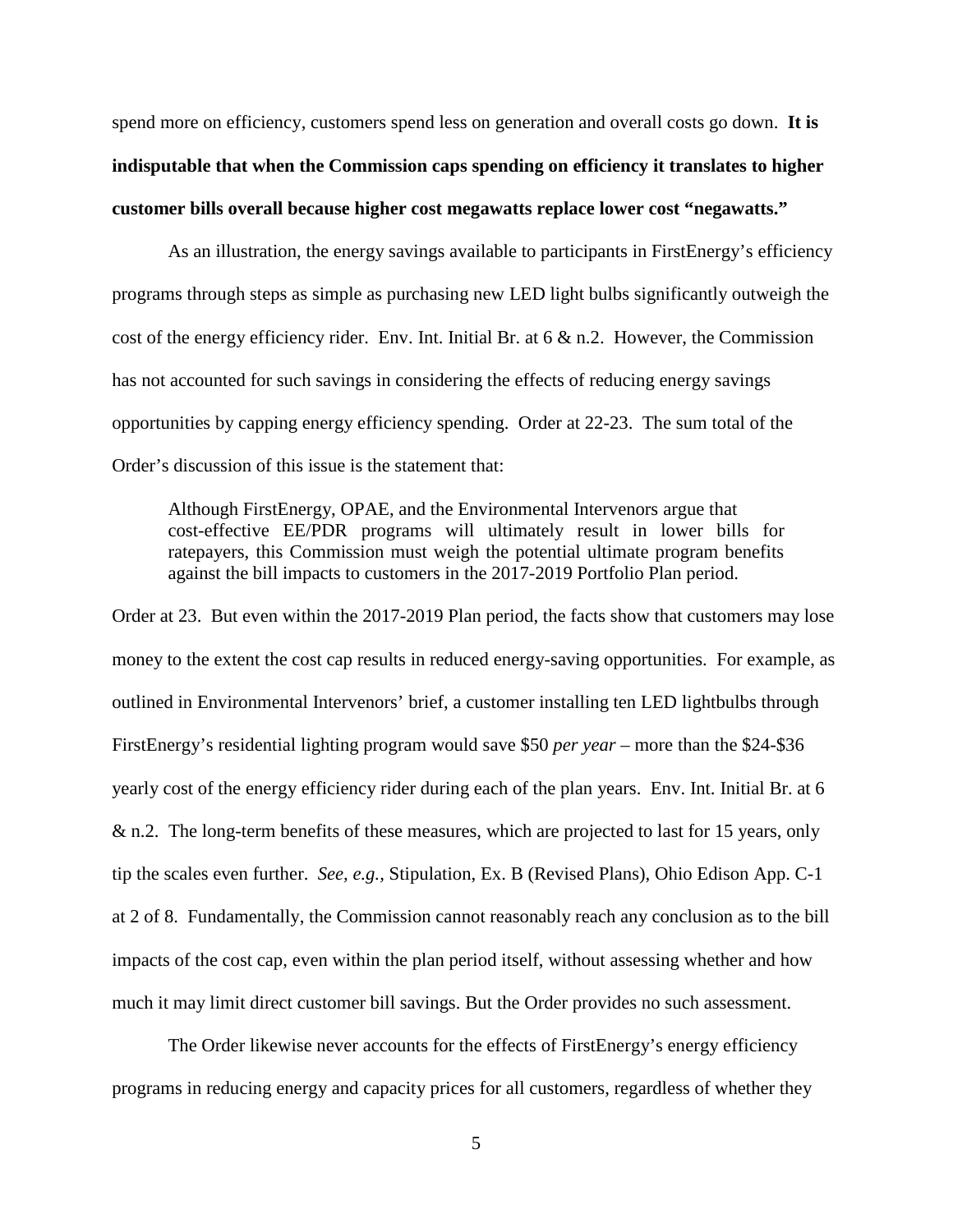spend more on efficiency, customers spend less on generation and overall costs go down. **It is indisputable that when the Commission caps spending on efficiency it translates to higher customer bills overall because higher cost megawatts replace lower cost "negawatts."**

As an illustration, the energy savings available to participants in FirstEnergy's efficiency programs through steps as simple as purchasing new LED light bulbs significantly outweigh the cost of the energy efficiency rider. Env. Int. Initial Br. at  $6 \& n.2$ . However, the Commission has not accounted for such savings in considering the effects of reducing energy savings opportunities by capping energy efficiency spending. Order at 22-23. The sum total of the Order's discussion of this issue is the statement that:

Although FirstEnergy, OPAE, and the Environmental Intervenors argue that cost-effective EE/PDR programs will ultimately result in lower bills for ratepayers, this Commission must weigh the potential ultimate program benefits against the bill impacts to customers in the 2017-2019 Portfolio Plan period.

Order at 23. But even within the 2017-2019 Plan period, the facts show that customers may lose money to the extent the cost cap results in reduced energy-saving opportunities. For example, as outlined in Environmental Intervenors' brief, a customer installing ten LED lightbulbs through FirstEnergy's residential lighting program would save \$50 *per year* – more than the \$24-\$36 yearly cost of the energy efficiency rider during each of the plan years. Env. Int. Initial Br. at 6 & n.2. The long-term benefits of these measures, which are projected to last for 15 years, only tip the scales even further. *See, e.g.,* Stipulation, Ex. B (Revised Plans), Ohio Edison App. C-1 at 2 of 8. Fundamentally, the Commission cannot reasonably reach any conclusion as to the bill impacts of the cost cap, even within the plan period itself, without assessing whether and how much it may limit direct customer bill savings. But the Order provides no such assessment.

The Order likewise never accounts for the effects of FirstEnergy's energy efficiency programs in reducing energy and capacity prices for all customers, regardless of whether they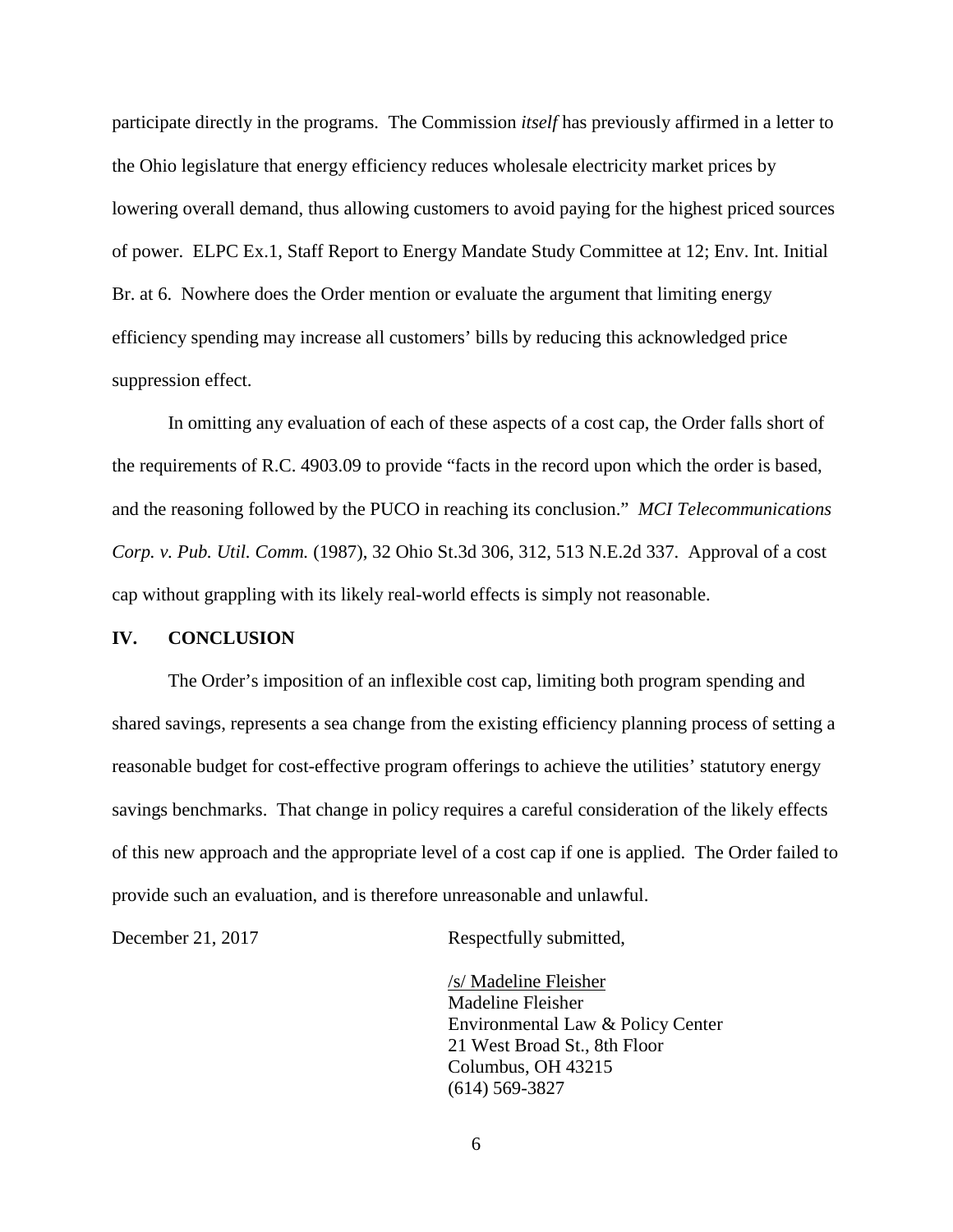participate directly in the programs. The Commission *itself* has previously affirmed in a letter to the Ohio legislature that energy efficiency reduces wholesale electricity market prices by lowering overall demand, thus allowing customers to avoid paying for the highest priced sources of power. ELPC Ex.1, Staff Report to Energy Mandate Study Committee at 12; Env. Int. Initial Br. at 6. Nowhere does the Order mention or evaluate the argument that limiting energy efficiency spending may increase all customers' bills by reducing this acknowledged price suppression effect.

In omitting any evaluation of each of these aspects of a cost cap, the Order falls short of the requirements of R.C. 4903.09 to provide "facts in the record upon which the order is based, and the reasoning followed by the PUCO in reaching its conclusion." *MCI Telecommunications Corp. v. Pub. Util. Comm.* (1987), 32 Ohio St.3d 306, 312, 513 N.E.2d 337. Approval of a cost cap without grappling with its likely real-world effects is simply not reasonable.

#### **IV. CONCLUSION**

The Order's imposition of an inflexible cost cap, limiting both program spending and shared savings, represents a sea change from the existing efficiency planning process of setting a reasonable budget for cost-effective program offerings to achieve the utilities' statutory energy savings benchmarks. That change in policy requires a careful consideration of the likely effects of this new approach and the appropriate level of a cost cap if one is applied. The Order failed to provide such an evaluation, and is therefore unreasonable and unlawful.

December 21, 2017 Respectfully submitted,

/s/ Madeline Fleisher Madeline Fleisher Environmental Law & Policy Center 21 West Broad St., 8th Floor Columbus, OH 43215 (614) 569-3827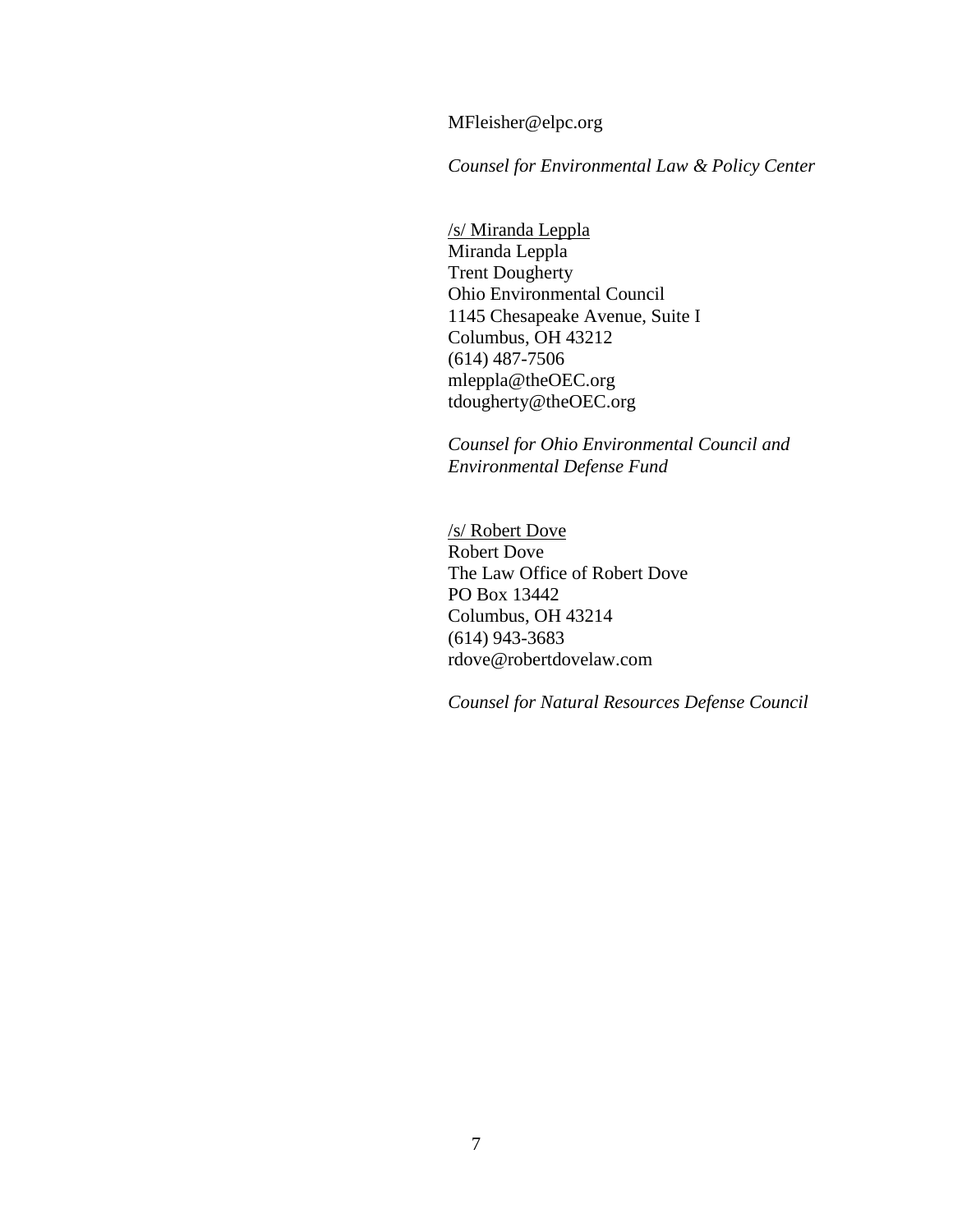MFleisher@elpc.org

*Counsel for Environmental Law & Policy Center*

/s/ Miranda Leppla Miranda Leppla Trent Dougherty Ohio Environmental Council 1145 Chesapeake Avenue, Suite I Columbus, OH 43212 (614) 487-7506 mleppla@theOEC.org tdougherty@theOEC.org

*Counsel for Ohio Environmental Council and Environmental Defense Fund*

/s/ Robert Dove Robert Dove The Law Office of Robert Dove PO Box 13442 Columbus, OH 43214 (614) 943-3683 rdove@robertdovelaw.com

*Counsel for Natural Resources Defense Council*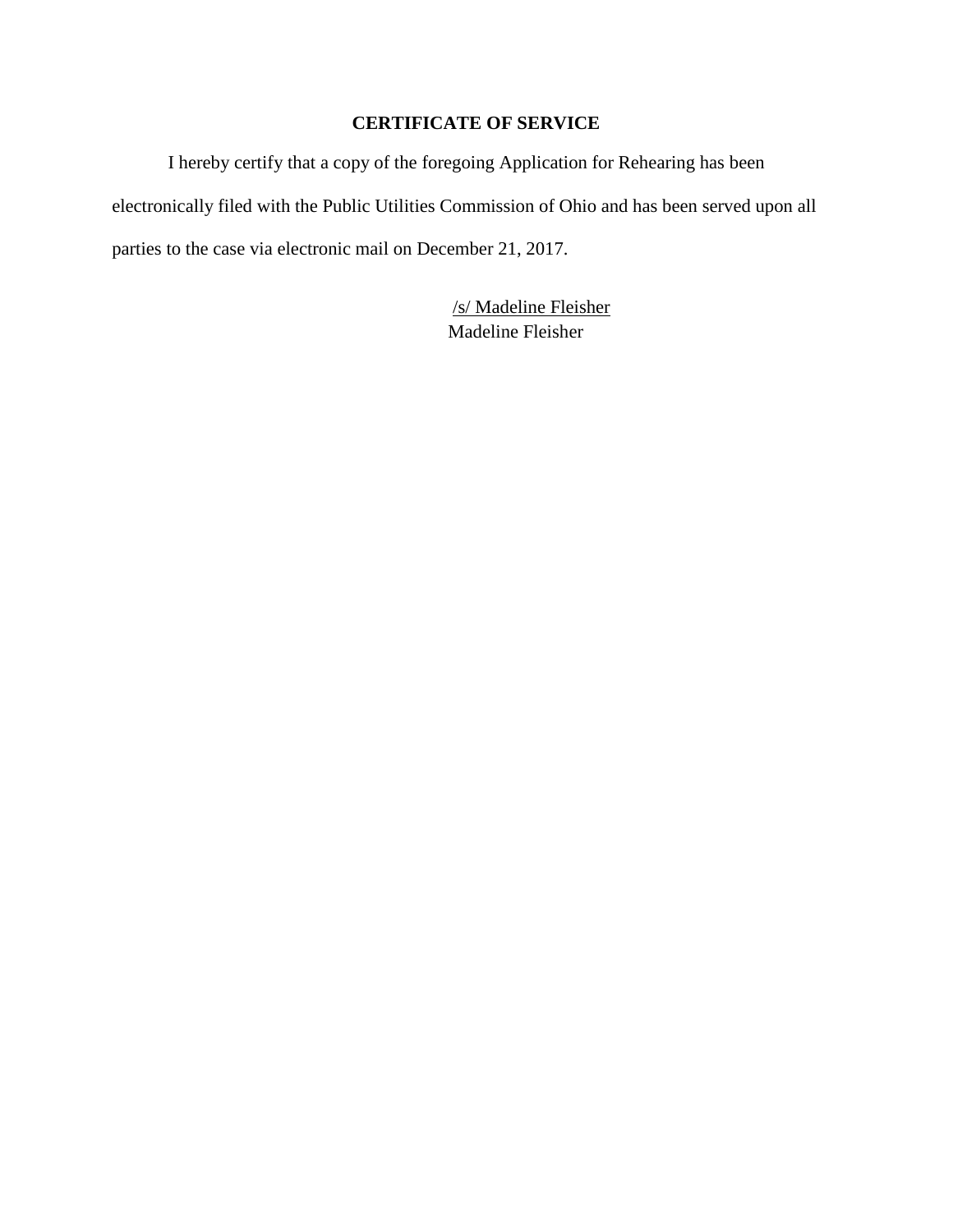# **CERTIFICATE OF SERVICE**

I hereby certify that a copy of the foregoing Application for Rehearing has been electronically filed with the Public Utilities Commission of Ohio and has been served upon all parties to the case via electronic mail on December 21, 2017.

> /s/ Madeline Fleisher Madeline Fleisher